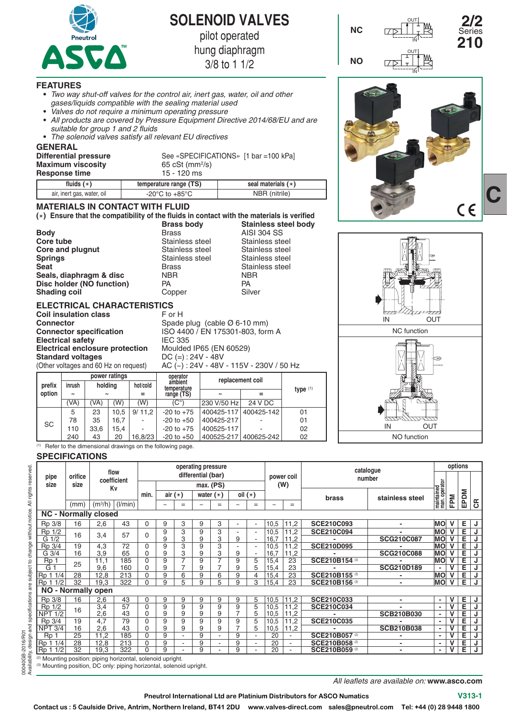

**SOLENOID VALVES**

pilot operated

hung diaphragm

3/8 to 1 1/2

**Stainless steel Stainless steel<br>
Stainless steel Stainless steel** 

#### **FEATURES**

- **•**  *Two way shut-off valves for the control air, inert gas, water, oil and other gases/liquids compatible with the sealing material used*
- **•**  *Valves do not require a minimum operating pressure*
- **•**  *All products are covered by Pressure Equipment Directive 2014/68/EU and are suitable for group 1 and 2 fluids*
- **•**  *The solenoid valves satisfy all relevant EU directives*

#### **GENERAL**

| Differential pressure<br><b>Maximum viscosity</b><br><b>Response time</b> | 65 cSt (mm <sup>2</sup> /s)<br>15 - 120 ms | See «SPECIFICATIONS» [1 bar = 100 kPa] |
|---------------------------------------------------------------------------|--------------------------------------------|----------------------------------------|
| fluids $(*)$                                                              | temperature range (TS)                     | seal materials $(**)$                  |
| air, inert gas, water, oil                                                | -20 $^{\circ}$ C to +85 $^{\circ}$ C       | NBR (nitrile)                          |

#### **MATERIALS IN CONTACT WITH FLUID**

**() Ensure that the compatibility of the fluids in contact with the materials is verified Brass body Stainless steel body**

**Stainless steel** 

**Body** Brass AISI 304 SS<br> **Core tube** Core **Example Stainless** steel Stainless steel **Core and plugnut** Stainless steel Stainless steel<br>
Stainless steel Stainless steel Stainless steel **Seat** Stainless steel<br> **Seals. diaphragm & disc** MBR NBR NBR **Seals, diaphragm & disc** NBR NB<br> **Disc holder (NO function)** PA PA PA **Disc holder (NO function)** PA PA PA<br> **Shading coil** Copper Silver **Shading coil** Copper

### **ELECTRICAL CHARACTERISTICS**

|                          |        | <b>Coil insulation class</b>           |          | F or H                                   |                  |  |  |  |  |  |
|--------------------------|--------|----------------------------------------|----------|------------------------------------------|------------------|--|--|--|--|--|
| <b>Connector</b>         |        |                                        |          | Spade plug (cable $\varnothing$ 6-10 mm) |                  |  |  |  |  |  |
|                          |        | <b>Connector specification</b>         |          | ISO 4400 / EN 175301-803, form A         |                  |  |  |  |  |  |
| <b>Electrical safety</b> |        |                                        |          | <b>IEC 335</b>                           |                  |  |  |  |  |  |
|                          |        | <b>Electrical enclosure protection</b> |          | Moulded IP65 (EN 60529)                  |                  |  |  |  |  |  |
| <b>Standard voltages</b> |        |                                        |          | $DC (=): 24V - 48V$                      |                  |  |  |  |  |  |
|                          |        | (Other voltages and 60 Hz on request)  |          | AC (~): 24V - 48V - 115V - 230V / 50 Hz  |                  |  |  |  |  |  |
|                          |        | power ratings                          |          | operator                                 | replacement coil |  |  |  |  |  |
| nrefiy                   | inrush | holding                                | hot/cold | ambient                                  |                  |  |  |  |  |  |

| prefix    | inrush                | holding               |      | hot/cold | ambient<br>temperature | replacement con       |            |            |  |  |
|-----------|-----------------------|-----------------------|------|----------|------------------------|-----------------------|------------|------------|--|--|
| option    | $\tilde{\phantom{a}}$ | $\tilde{\phantom{a}}$ |      |          | range (TS)             | $\tilde{\phantom{a}}$ |            | type $(1)$ |  |  |
|           | (VA                   | 'VA)                  | (W)  | (W)      | $(C^{\circ})$          | 230 V/50 Hz           | 24 V DC    |            |  |  |
|           | 5                     | 23                    | 10.5 | 9/11.2   | $-20$ to $+75$         | 400425-117            | 400425-142 | 01         |  |  |
| <b>SC</b> | 78                    | 35                    | 16.7 | -        | $-20$ to $+50$         | 400425-217            |            | 01         |  |  |
|           | 110                   | 33.6                  | 15.4 | ٠        | $-20$ to $+75$         | 400525-117            |            | 02         |  |  |
|           | 240                   | 43                    | 20   | 16.8/23  | $-20$ to $+50$         | 400525-217            | 400625-242 | 02         |  |  |

 $(1)$  Refer to the dimensional drawings on the following page.

## **SPECIFICATIONS**

|                                                                        |         |                           | operating pressure |                    |            |     |             |                |                |     |            |                          |                           | options                  |                            |     |      |                |
|------------------------------------------------------------------------|---------|---------------------------|--------------------|--------------------|------------|-----|-------------|----------------|----------------|-----|------------|--------------------------|---------------------------|--------------------------|----------------------------|-----|------|----------------|
| pipe                                                                   | orifice | flow<br>coefficient<br>Κv |                    | differential (bar) |            |     |             |                |                |     | power coil |                          | catalogue<br>number       |                          |                            |     |      |                |
| size                                                                   | size    |                           |                    |                    | max. (PS)  |     |             |                |                |     | (W)        |                          |                           |                          |                            |     |      |                |
|                                                                        |         |                           |                    | min.               | air $(*)$  |     | water $(*)$ |                | oil $(*)$      |     |            |                          | brass                     | stainless steel          | maintained<br>man.operator |     | EPDM |                |
|                                                                        | (mm`    | (m <sup>3</sup> /h)       | (1/min)            |                    | $\tilde{}$ | $=$ | $\tilde{}$  | $=$            | $\tilde{}$     | $=$ | $\tilde{}$ | $=$                      |                           |                          |                            | FPM |      | $\mathfrak{S}$ |
| <b>NC - Normally closed</b>                                            |         |                           |                    |                    |            |     |             |                |                |     |            |                          |                           |                          |                            |     |      |                |
| Rp 3/8                                                                 | 16      | 2,6                       | 43                 | 0                  | 9          | 3   | 9           | 3              |                |     | 10,5       | 11,2                     | <b>SCE210C093</b>         | $\blacksquare$           | <b>MO</b>                  |     | Е    | J              |
| Rp 1/2                                                                 | 16      |                           | 57                 | $\Omega$           | 9          | 3   | 9           | 3              |                |     | 10,5       | 11,2                     | <b>SCE210C094</b>         |                          | <b>MO</b>                  | v   | Е    | J              |
| $G\overline{1/2}$                                                      |         | 3,4                       |                    |                    | 9          | 3   | 9           | 3              | 9              |     | 16,7       | 11,2                     |                           | <b>SCG210C087</b>        | <b>MO</b>                  |     | Е    | J              |
| Rp 3/4                                                                 | 19      | 4,3                       | 72                 | $\Omega$           | 9          | 3   | 9           | 3              |                |     | 10,5       | 11,2                     | <b>SCE210D095</b>         |                          | <b>MO</b>                  |     | Е    | J              |
| G 3/4                                                                  | 16      | 3,9                       | 65                 | 0                  | 9          | 3   | 9           | 3              | 9              |     | 16,7       | 11,2                     |                           | <b>SCG210C088</b>        | <b>MO</b>                  |     | E    | J              |
| Rp <sub>1</sub>                                                        | 25      | 11,1                      | 185                | $\Omega$           | 9          | 7   | 9           | $\overline{7}$ | 9              | 5   | 15,4       | 23                       | SCE210B154 (3)            |                          | <b>MO</b>                  | v   | E    | J              |
| $\overline{G}$ 1                                                       |         | 9,6                       | 160                | $\mathbf 0$        | 9          | 7   | 9           |                | 9              | 5   | 15,4       | 23                       |                           | <b>SCG210D189</b>        |                            |     | Е    | J              |
| Rp 1 1/4                                                               | 28      | 12,8                      | 213                | $\Omega$           | 9          | 6   | 9           | 6              | 9              | 4   | 15,4       | 23                       | SCE210B155                |                          | <b>MO</b>                  | v   | E    | J              |
| Rp 1 1/2                                                               | 32      | 19,3                      | 322                | $\Omega$           | 9          | 5   | 9           | 5              | 9              | 3   | 15,4       | 23                       | SCE210B156 <sup>(3)</sup> |                          | <b>MO</b>                  | v   | Е    | J              |
| NO - Normally open                                                     |         |                           |                    |                    |            |     |             |                |                |     |            |                          |                           |                          |                            |     |      |                |
| Rp 3/8                                                                 | 16      | 2,6                       | 43                 | $\mathbf 0$        | 9          | 9   | 9           | 9              | 9              | 5   | 10,5       | 11,2                     | SCE210C033                | $\overline{\phantom{a}}$ | ٠                          | V   | Е    | J              |
| Rp 1/2                                                                 | 16      | 3,4                       | 57                 | 0                  | 9          | 9   | 9           | 9              | 9              | 5   | 10,5       | 11,2                     | <b>SCE210C034</b>         |                          |                            | v   | Ē    | J              |
| <b>NPT 1/2</b>                                                         |         | 2,6                       | 43                 | 0                  | 9          | 9   | 9           | 9              | 7              | 5   | 10,5       | 11,2                     |                           | <b>SCB210B030</b>        | $\blacksquare$             |     | E    | J              |
| Rp 3/4                                                                 | 19      | 4,7                       | $\overline{79}$    | $\mathbf 0$        | 9          | 9   | 9           | 9              | 9              | 5   | 10,5       | 11,2                     | <b>SCE210C035</b>         |                          |                            |     | Ē    | J              |
| <b>NPT 3/4</b>                                                         | 16      | 2,6                       | 43                 | $\mathbf 0$        | 9          | 9   | 9           | 9              | $\overline{7}$ | 5   | 10,5       | 11,2                     |                           | <b>SCB210B038</b>        | ٠                          | ν   | Ē    | J              |
| Rp                                                                     | 25      | 11,2                      | 185                | $\mathbf 0$        | 9          |     | 9           |                | 9              |     | 20         |                          | SCE210B057 <sup>2</sup>   |                          |                            |     | Е    | J              |
| Rp 1 1/4                                                               | 28      | 12,8                      | 213                | 0                  | 9          |     | 9           |                | 9              |     | 20         | $\overline{\phantom{a}}$ | SCE210B058 <sup>(2)</sup> | $\blacksquare$           | ٠                          |     | E    | J              |
| Rp 11/2                                                                | 32      | 19,3                      | 322                | $\Omega$           | 9          |     | 9           |                | 9              |     | 20         |                          | SCE210B059 <sup>(2)</sup> | $\overline{\phantom{a}}$ | ٠                          | v   | Ε    | J              |
| <sup>(2)</sup> Mounting position: piping horizontal, solenoid upright. |         |                           |                    |                    |            |     |             |                |                |     |            |                          |                           |                          |                            |     |      |                |
| (3) Mounting position, DC only: piping horizontal, solenoid upright.   |         |                           |                    |                    |            |     |             |                |                |     |            |                          |                           |                          |                            |     |      |                |



**2/2** 

Series

**NC**





*All leaflets are available on:* **www.asco.com**